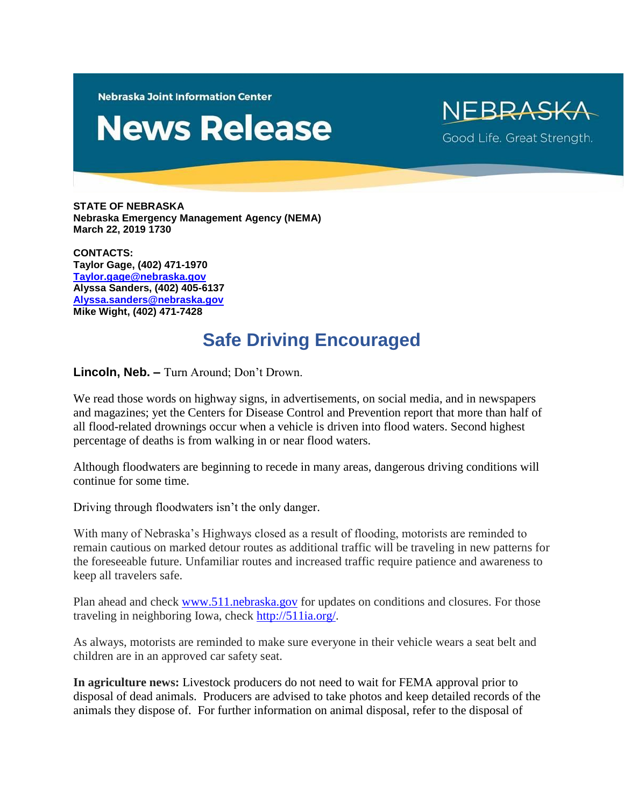**Nebraska Joint Information Center** 

## **News Release**

NEBRASKA Good Life. Great Strength.

**STATE OF NEBRASKA Nebraska Emergency Management Agency (NEMA) March 22, 2019 1730**

**CONTACTS: Taylor Gage, (402) 471-1970 [Taylor.gage@nebraska.gov](mailto:Taylor.gage@nebraska.gov) Alyssa Sanders, (402) 405-6137 [Alyssa.sanders@nebraska.gov](mailto:Alyssa.sanders@nebraska.gov) Mike Wight, (402) 471-7428**

## **Safe Driving Encouraged**

**Lincoln, Neb. –** Turn Around; Don't Drown.

We read those words on highway signs, in advertisements, on social media, and in newspapers and magazines; yet the Centers for Disease Control and Prevention report that more than half of all flood-related drownings occur when a vehicle is driven into flood waters. Second highest percentage of deaths is from walking in or near flood waters.

Although floodwaters are beginning to recede in many areas, dangerous driving conditions will continue for some time.

Driving through floodwaters isn't the only danger.

With many of Nebraska's Highways closed as a result of flooding, motorists are reminded to remain cautious on marked detour routes as additional traffic will be traveling in new patterns for the foreseeable future. Unfamiliar routes and increased traffic require patience and awareness to keep all travelers safe.

Plan ahead and check [www.511.nebraska.gov](http://www.511.nebraska.gov/) for updates on conditions and closures. For those traveling in neighboring Iowa, check [http://511ia.org/.](http://511ia.org/)

As always, motorists are reminded to make sure everyone in their vehicle wears a seat belt and children are in an approved car safety seat.

**In agriculture news:** Livestock producers do not need to wait for FEMA approval prior to disposal of dead animals. Producers are advised to take photos and keep detailed records of the animals they dispose of. For further information on animal disposal, refer to the disposal of